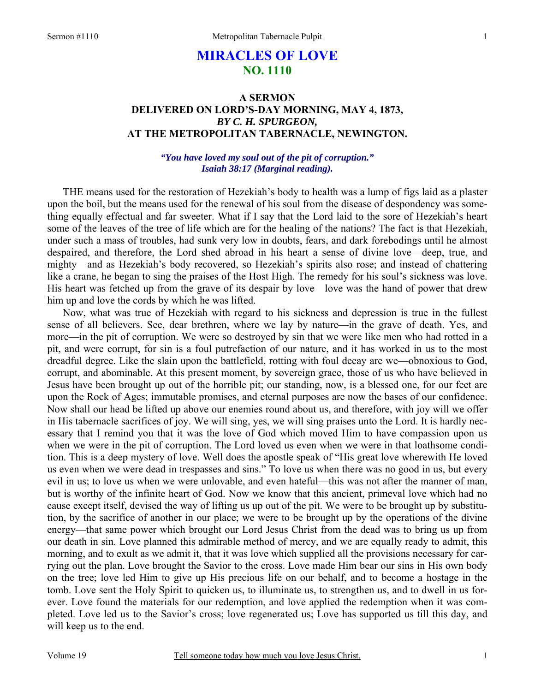# **MIRACLES OF LOVE NO. 1110**

# **A SERMON DELIVERED ON LORD'S-DAY MORNING, MAY 4, 1873,**  *BY C. H. SPURGEON,*  **AT THE METROPOLITAN TABERNACLE, NEWINGTON.**

## *"You have loved my soul out of the pit of corruption." Isaiah 38:17 (Marginal reading).*

THE means used for the restoration of Hezekiah's body to health was a lump of figs laid as a plaster upon the boil, but the means used for the renewal of his soul from the disease of despondency was something equally effectual and far sweeter. What if I say that the Lord laid to the sore of Hezekiah's heart some of the leaves of the tree of life which are for the healing of the nations? The fact is that Hezekiah, under such a mass of troubles, had sunk very low in doubts, fears, and dark forebodings until he almost despaired, and therefore, the Lord shed abroad in his heart a sense of divine love—deep, true, and mighty—and as Hezekiah's body recovered, so Hezekiah's spirits also rose; and instead of chattering like a crane, he began to sing the praises of the Host High. The remedy for his soul's sickness was love. His heart was fetched up from the grave of its despair by love—love was the hand of power that drew him up and love the cords by which he was lifted.

Now, what was true of Hezekiah with regard to his sickness and depression is true in the fullest sense of all believers. See, dear brethren, where we lay by nature—in the grave of death. Yes, and more—in the pit of corruption. We were so destroyed by sin that we were like men who had rotted in a pit, and were corrupt, for sin is a foul putrefaction of our nature, and it has worked in us to the most dreadful degree. Like the slain upon the battlefield, rotting with foul decay are we—obnoxious to God, corrupt, and abominable. At this present moment, by sovereign grace, those of us who have believed in Jesus have been brought up out of the horrible pit; our standing, now, is a blessed one, for our feet are upon the Rock of Ages; immutable promises, and eternal purposes are now the bases of our confidence. Now shall our head be lifted up above our enemies round about us, and therefore, with joy will we offer in His tabernacle sacrifices of joy. We will sing, yes, we will sing praises unto the Lord. It is hardly necessary that I remind you that it was the love of God which moved Him to have compassion upon us when we were in the pit of corruption. The Lord loved us even when we were in that loathsome condition. This is a deep mystery of love. Well does the apostle speak of "His great love wherewith He loved us even when we were dead in trespasses and sins." To love us when there was no good in us, but every evil in us; to love us when we were unlovable, and even hateful—this was not after the manner of man, but is worthy of the infinite heart of God. Now we know that this ancient, primeval love which had no cause except itself, devised the way of lifting us up out of the pit. We were to be brought up by substitution, by the sacrifice of another in our place; we were to be brought up by the operations of the divine energy—that same power which brought our Lord Jesus Christ from the dead was to bring us up from our death in sin. Love planned this admirable method of mercy, and we are equally ready to admit, this morning, and to exult as we admit it, that it was love which supplied all the provisions necessary for carrying out the plan. Love brought the Savior to the cross. Love made Him bear our sins in His own body on the tree; love led Him to give up His precious life on our behalf, and to become a hostage in the tomb. Love sent the Holy Spirit to quicken us, to illuminate us, to strengthen us, and to dwell in us forever. Love found the materials for our redemption, and love applied the redemption when it was completed. Love led us to the Savior's cross; love regenerated us; Love has supported us till this day, and will keep us to the end.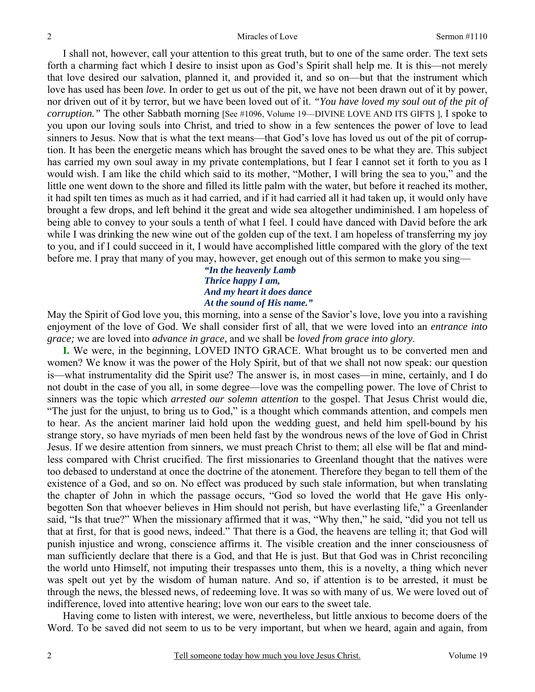I shall not, however, call your attention to this great truth, but to one of the same order. The text sets forth a charming fact which I desire to insist upon as God's Spirit shall help me. It is this—not merely that love desired our salvation, planned it, and provided it, and so on—but that the instrument which love has used has been *love.* In order to get us out of the pit, we have not been drawn out of it by power, nor driven out of it by terror, but we have been loved out of it. *"You have loved my soul out of the pit of corruption.*" The other Sabbath morning [See #1096, Volume 19—DIVINE LOVE AND ITS GIFTS ], I spoke to you upon our loving souls into Christ, and tried to show in a few sentences the power of love to lead sinners to Jesus. Now that is what the text means—that God's love has loved us out of the pit of corruption. It has been the energetic means which has brought the saved ones to be what they are. This subject has carried my own soul away in my private contemplations, but I fear I cannot set it forth to you as I would wish. I am like the child which said to its mother, "Mother, I will bring the sea to you," and the little one went down to the shore and filled its little palm with the water, but before it reached its mother, it had spilt ten times as much as it had carried, and if it had carried all it had taken up, it would only have brought a few drops, and left behind it the great and wide sea altogether undiminished. I am hopeless of being able to convey to your souls a tenth of what I feel. I could have danced with David before the ark while I was drinking the new wine out of the golden cup of the text. I am hopeless of transferring my joy to you, and if I could succeed in it, I would have accomplished little compared with the glory of the text before me. I pray that many of you may, however, get enough out of this sermon to make you sing—

## *"In the heavenly Lamb Thrice happy I am, And my heart it does dance At the sound of His name."*

May the Spirit of God love you, this morning, into a sense of the Savior's love, love you into a ravishing enjoyment of the love of God. We shall consider first of all, that we were loved into an *entrance into grace;* we are loved into *advance in grace,* and we shall be *loved from grace into glory*.

**I.** We were, in the beginning, LOVED INTO GRACE. What brought us to be converted men and women? We know it was the power of the Holy Spirit, but of that we shall not now speak: our question is—what instrumentality did the Spirit use? The answer is, in most cases—in mine, certainly, and I do not doubt in the case of you all, in some degree—love was the compelling power. The love of Christ to sinners was the topic which *arrested our solemn attention* to the gospel. That Jesus Christ would die, "The just for the unjust, to bring us to God," is a thought which commands attention, and compels men to hear. As the ancient mariner laid hold upon the wedding guest, and held him spell-bound by his strange story, so have myriads of men been held fast by the wondrous news of the love of God in Christ Jesus. If we desire attention from sinners, we must preach Christ to them; all else will be flat and mindless compared with Christ crucified. The first missionaries to Greenland thought that the natives were too debased to understand at once the doctrine of the atonement. Therefore they began to tell them of the existence of a God, and so on. No effect was produced by such stale information, but when translating the chapter of John in which the passage occurs, "God so loved the world that He gave His onlybegotten Son that whoever believes in Him should not perish, but have everlasting life," a Greenlander said, "Is that true?" When the missionary affirmed that it was, "Why then," he said, "did you not tell us that at first, for that is good news, indeed." That there is a God, the heavens are telling it; that God will punish injustice and wrong, conscience affirms it. The visible creation and the inner consciousness of man sufficiently declare that there is a God, and that He is just. But that God was in Christ reconciling the world unto Himself, not imputing their trespasses unto them, this is a novelty, a thing which never was spelt out yet by the wisdom of human nature. And so, if attention is to be arrested, it must be through the news, the blessed news, of redeeming love. It was so with many of us. We were loved out of indifference, loved into attentive hearing; love won our ears to the sweet tale.

Having come to listen with interest, we were, nevertheless, but little anxious to become doers of the Word. To be saved did not seem to us to be very important, but when we heard, again and again, from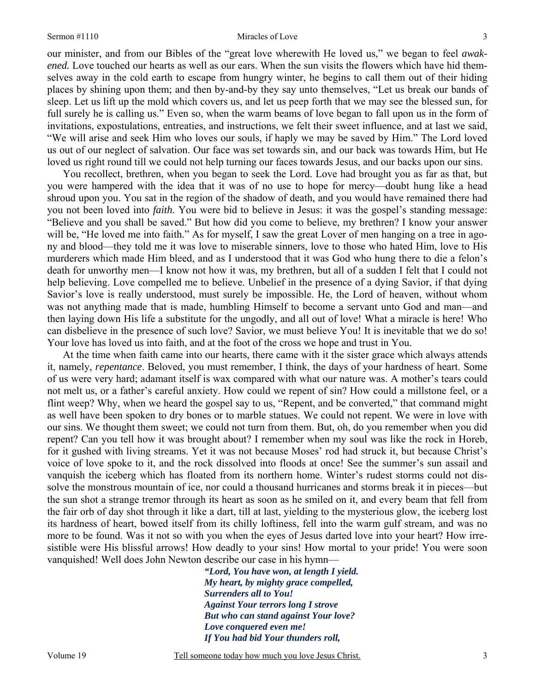#### Sermon #1110 Miracles of Love

3

our minister, and from our Bibles of the "great love wherewith He loved us," we began to feel *awakened.* Love touched our hearts as well as our ears. When the sun visits the flowers which have hid themselves away in the cold earth to escape from hungry winter, he begins to call them out of their hiding places by shining upon them; and then by-and-by they say unto themselves, "Let us break our bands of sleep. Let us lift up the mold which covers us, and let us peep forth that we may see the blessed sun, for full surely he is calling us." Even so, when the warm beams of love began to fall upon us in the form of invitations, expostulations, entreaties, and instructions, we felt their sweet influence, and at last we said, "We will arise and seek Him who loves our souls, if haply we may be saved by Him." The Lord loved us out of our neglect of salvation. Our face was set towards sin, and our back was towards Him, but He loved us right round till we could not help turning our faces towards Jesus, and our backs upon our sins.

You recollect, brethren, when you began to seek the Lord. Love had brought you as far as that, but you were hampered with the idea that it was of no use to hope for mercy—doubt hung like a head shroud upon you. You sat in the region of the shadow of death, and you would have remained there had you not been loved into *faith*. You were bid to believe in Jesus: it was the gospel's standing message: "Believe and you shall be saved." But how did you come to believe, my brethren? I know your answer will be, "He loved me into faith." As for myself, I saw the great Lover of men hanging on a tree in agony and blood—they told me it was love to miserable sinners, love to those who hated Him, love to His murderers which made Him bleed, and as I understood that it was God who hung there to die a felon's death for unworthy men—I know not how it was, my brethren, but all of a sudden I felt that I could not help believing. Love compelled me to believe. Unbelief in the presence of a dying Savior, if that dying Savior's love is really understood, must surely be impossible. He, the Lord of heaven, without whom was not anything made that is made, humbling Himself to become a servant unto God and man—and then laying down His life a substitute for the ungodly, and all out of love! What a miracle is here! Who can disbelieve in the presence of such love? Savior, we must believe You! It is inevitable that we do so! Your love has loved us into faith, and at the foot of the cross we hope and trust in You.

At the time when faith came into our hearts, there came with it the sister grace which always attends it, namely, *repentance*. Beloved, you must remember, I think, the days of your hardness of heart. Some of us were very hard; adamant itself is wax compared with what our nature was. A mother's tears could not melt us, or a father's careful anxiety. How could we repent of sin? How could a millstone feel, or a flint weep? Why, when we heard the gospel say to us, "Repent, and be converted," that command might as well have been spoken to dry bones or to marble statues. We could not repent. We were in love with our sins. We thought them sweet; we could not turn from them. But, oh, do you remember when you did repent? Can you tell how it was brought about? I remember when my soul was like the rock in Horeb, for it gushed with living streams. Yet it was not because Moses' rod had struck it, but because Christ's voice of love spoke to it, and the rock dissolved into floods at once! See the summer's sun assail and vanquish the iceberg which has floated from its northern home. Winter's rudest storms could not dissolve the monstrous mountain of ice, nor could a thousand hurricanes and storms break it in pieces—but the sun shot a strange tremor through its heart as soon as he smiled on it, and every beam that fell from the fair orb of day shot through it like a dart, till at last, yielding to the mysterious glow, the iceberg lost its hardness of heart, bowed itself from its chilly loftiness, fell into the warm gulf stream, and was no more to be found. Was it not so with you when the eyes of Jesus darted love into your heart? How irresistible were His blissful arrows! How deadly to your sins! How mortal to your pride! You were soon vanquished! Well does John Newton describe our case in his hymn—

> *"Lord, You have won, at length I yield. My heart, by mighty grace compelled, Surrenders all to You! Against Your terrors long I strove But who can stand against Your love? Love conquered even me! If You had bid Your thunders roll,*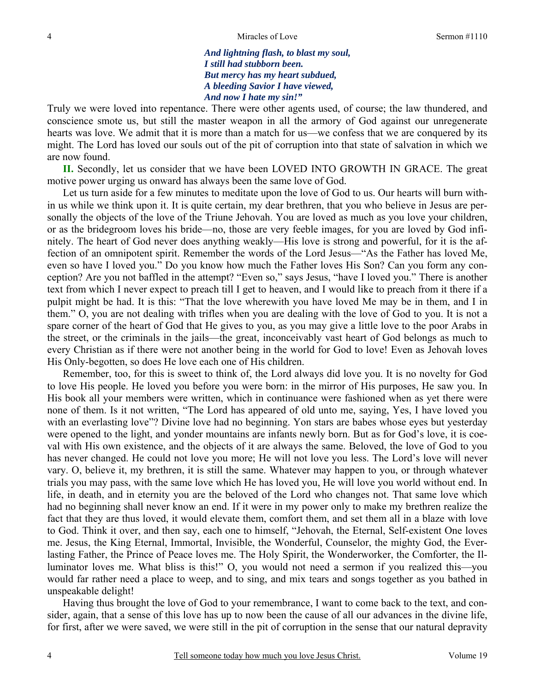*And lightning flash, to blast my soul, I still had stubborn been. But mercy has my heart subdued, A bleeding Savior I have viewed, And now I hate my sin!"* 

Truly we were loved into repentance. There were other agents used, of course; the law thundered, and conscience smote us, but still the master weapon in all the armory of God against our unregenerate hearts was love. We admit that it is more than a match for us—we confess that we are conquered by its might. The Lord has loved our souls out of the pit of corruption into that state of salvation in which we are now found.

**II.** Secondly, let us consider that we have been LOVED INTO GROWTH IN GRACE. The great motive power urging us onward has always been the same love of God.

Let us turn aside for a few minutes to meditate upon the love of God to us. Our hearts will burn within us while we think upon it. It is quite certain, my dear brethren, that you who believe in Jesus are personally the objects of the love of the Triune Jehovah. You are loved as much as you love your children, or as the bridegroom loves his bride—no, those are very feeble images, for you are loved by God infinitely. The heart of God never does anything weakly—His love is strong and powerful, for it is the affection of an omnipotent spirit. Remember the words of the Lord Jesus—"As the Father has loved Me, even so have I loved you." Do you know how much the Father loves His Son? Can you form any conception? Are you not baffled in the attempt? "Even so," says Jesus, "have I loved you." There is another text from which I never expect to preach till I get to heaven, and I would like to preach from it there if a pulpit might be had. It is this: "That the love wherewith you have loved Me may be in them, and I in them." O, you are not dealing with trifles when you are dealing with the love of God to you. It is not a spare corner of the heart of God that He gives to you, as you may give a little love to the poor Arabs in the street, or the criminals in the jails—the great, inconceivably vast heart of God belongs as much to every Christian as if there were not another being in the world for God to love! Even as Jehovah loves His Only-begotten, so does He love each one of His children.

Remember, too, for this is sweet to think of, the Lord always did love you. It is no novelty for God to love His people. He loved you before you were born: in the mirror of His purposes, He saw you. In His book all your members were written, which in continuance were fashioned when as yet there were none of them. Is it not written, "The Lord has appeared of old unto me, saying, Yes, I have loved you with an everlasting love"? Divine love had no beginning. Yon stars are babes whose eyes but yesterday were opened to the light, and yonder mountains are infants newly born. But as for God's love, it is coeval with His own existence, and the objects of it are always the same. Beloved, the love of God to you has never changed. He could not love you more; He will not love you less. The Lord's love will never vary. O, believe it, my brethren, it is still the same. Whatever may happen to you, or through whatever trials you may pass, with the same love which He has loved you, He will love you world without end. In life, in death, and in eternity you are the beloved of the Lord who changes not. That same love which had no beginning shall never know an end. If it were in my power only to make my brethren realize the fact that they are thus loved, it would elevate them, comfort them, and set them all in a blaze with love to God. Think it over, and then say, each one to himself, "Jehovah, the Eternal, Self-existent One loves me. Jesus, the King Eternal, Immortal, Invisible, the Wonderful, Counselor, the mighty God, the Everlasting Father, the Prince of Peace loves me. The Holy Spirit, the Wonderworker, the Comforter, the Illuminator loves me. What bliss is this!" O, you would not need a sermon if you realized this—you would far rather need a place to weep, and to sing, and mix tears and songs together as you bathed in unspeakable delight!

Having thus brought the love of God to your remembrance, I want to come back to the text, and consider, again, that a sense of this love has up to now been the cause of all our advances in the divine life, for first, after we were saved, we were still in the pit of corruption in the sense that our natural depravity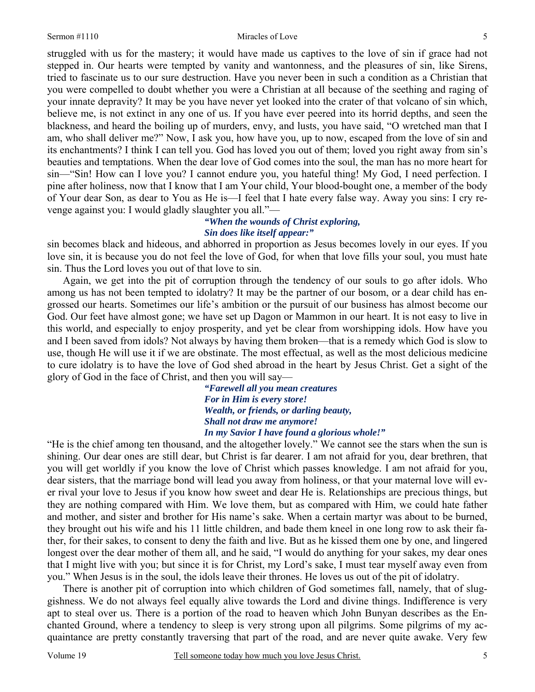#### Sermon #1110 Miracles of Love

struggled with us for the mastery; it would have made us captives to the love of sin if grace had not stepped in. Our hearts were tempted by vanity and wantonness, and the pleasures of sin, like Sirens, tried to fascinate us to our sure destruction. Have you never been in such a condition as a Christian that you were compelled to doubt whether you were a Christian at all because of the seething and raging of your innate depravity? It may be you have never yet looked into the crater of that volcano of sin which, believe me, is not extinct in any one of us. If you have ever peered into its horrid depths, and seen the blackness, and heard the boiling up of murders, envy, and lusts, you have said, "O wretched man that I am, who shall deliver me?" Now, I ask you, how have you, up to now, escaped from the love of sin and its enchantments? I think I can tell you. God has loved you out of them; loved you right away from sin's beauties and temptations. When the dear love of God comes into the soul, the man has no more heart for sin—"Sin! How can I love you? I cannot endure you, you hateful thing! My God, I need perfection. I pine after holiness, now that I know that I am Your child, Your blood-bought one, a member of the body of Your dear Son, as dear to You as He is—I feel that I hate every false way. Away you sins: I cry revenge against you: I would gladly slaughter you all."—

# *"When the wounds of Christ exploring, Sin does like itself appear:"*

sin becomes black and hideous, and abhorred in proportion as Jesus becomes lovely in our eyes. If you love sin, it is because you do not feel the love of God, for when that love fills your soul, you must hate sin. Thus the Lord loves you out of that love to sin.

Again, we get into the pit of corruption through the tendency of our souls to go after idols. Who among us has not been tempted to idolatry? It may be the partner of our bosom, or a dear child has engrossed our hearts. Sometimes our life's ambition or the pursuit of our business has almost become our God. Our feet have almost gone; we have set up Dagon or Mammon in our heart. It is not easy to live in this world, and especially to enjoy prosperity, and yet be clear from worshipping idols. How have you and I been saved from idols? Not always by having them broken—that is a remedy which God is slow to use, though He will use it if we are obstinate. The most effectual, as well as the most delicious medicine to cure idolatry is to have the love of God shed abroad in the heart by Jesus Christ. Get a sight of the glory of God in the face of Christ, and then you will say—

> *"Farewell all you mean creatures For in Him is every store! Wealth, or friends, or darling beauty, Shall not draw me anymore! In my Savior I have found a glorious whole!"*

"He is the chief among ten thousand, and the altogether lovely." We cannot see the stars when the sun is shining. Our dear ones are still dear, but Christ is far dearer. I am not afraid for you, dear brethren, that you will get worldly if you know the love of Christ which passes knowledge. I am not afraid for you, dear sisters, that the marriage bond will lead you away from holiness, or that your maternal love will ever rival your love to Jesus if you know how sweet and dear He is. Relationships are precious things, but they are nothing compared with Him. We love them, but as compared with Him, we could hate father and mother, and sister and brother for His name's sake. When a certain martyr was about to be burned, they brought out his wife and his 11 little children, and bade them kneel in one long row to ask their father, for their sakes, to consent to deny the faith and live. But as he kissed them one by one, and lingered longest over the dear mother of them all, and he said, "I would do anything for your sakes, my dear ones that I might live with you; but since it is for Christ, my Lord's sake, I must tear myself away even from you." When Jesus is in the soul, the idols leave their thrones. He loves us out of the pit of idolatry.

 There is another pit of corruption into which children of God sometimes fall, namely, that of sluggishness. We do not always feel equally alive towards the Lord and divine things. Indifference is very apt to steal over us. There is a portion of the road to heaven which John Bunyan describes as the Enchanted Ground, where a tendency to sleep is very strong upon all pilgrims. Some pilgrims of my acquaintance are pretty constantly traversing that part of the road, and are never quite awake. Very few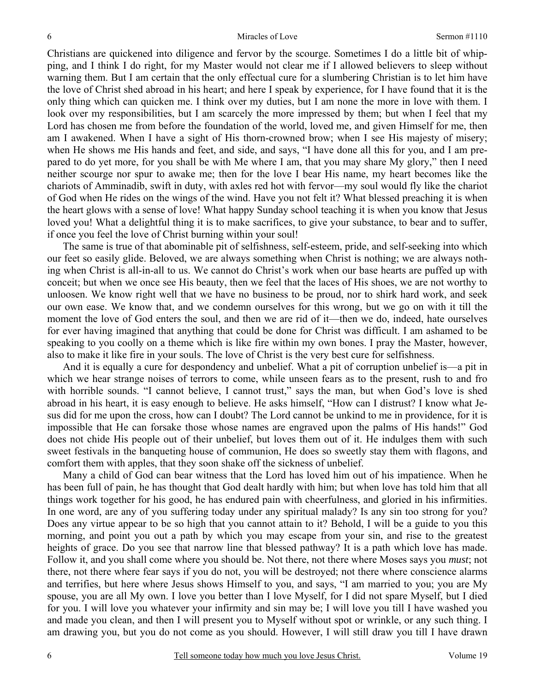Christians are quickened into diligence and fervor by the scourge. Sometimes I do a little bit of whipping, and I think I do right, for my Master would not clear me if I allowed believers to sleep without warning them. But I am certain that the only effectual cure for a slumbering Christian is to let him have the love of Christ shed abroad in his heart; and here I speak by experience, for I have found that it is the only thing which can quicken me. I think over my duties, but I am none the more in love with them. I look over my responsibilities, but I am scarcely the more impressed by them; but when I feel that my Lord has chosen me from before the foundation of the world, loved me, and given Himself for me, then am I awakened. When I have a sight of His thorn-crowned brow; when I see His majesty of misery; when He shows me His hands and feet, and side, and says, "I have done all this for you, and I am prepared to do yet more, for you shall be with Me where I am, that you may share My glory," then I need neither scourge nor spur to awake me; then for the love I bear His name, my heart becomes like the chariots of Amminadib, swift in duty, with axles red hot with fervor—my soul would fly like the chariot of God when He rides on the wings of the wind. Have you not felt it? What blessed preaching it is when the heart glows with a sense of love! What happy Sunday school teaching it is when you know that Jesus loved you! What a delightful thing it is to make sacrifices, to give your substance, to bear and to suffer, if once you feel the love of Christ burning within your soul!

 The same is true of that abominable pit of selfishness, self-esteem, pride, and self-seeking into which our feet so easily glide. Beloved, we are always something when Christ is nothing; we are always nothing when Christ is all-in-all to us. We cannot do Christ's work when our base hearts are puffed up with conceit; but when we once see His beauty, then we feel that the laces of His shoes, we are not worthy to unloosen. We know right well that we have no business to be proud, nor to shirk hard work, and seek our own ease. We know that, and we condemn ourselves for this wrong, but we go on with it till the moment the love of God enters the soul, and then we are rid of it—then we do, indeed, hate ourselves for ever having imagined that anything that could be done for Christ was difficult. I am ashamed to be speaking to you coolly on a theme which is like fire within my own bones. I pray the Master, however, also to make it like fire in your souls. The love of Christ is the very best cure for selfishness.

 And it is equally a cure for despondency and unbelief. What a pit of corruption unbelief is—a pit in which we hear strange noises of terrors to come, while unseen fears as to the present, rush to and fro with horrible sounds. "I cannot believe, I cannot trust," says the man, but when God's love is shed abroad in his heart, it is easy enough to believe. He asks himself, "How can I distrust? I know what Jesus did for me upon the cross, how can I doubt? The Lord cannot be unkind to me in providence, for it is impossible that He can forsake those whose names are engraved upon the palms of His hands!" God does not chide His people out of their unbelief, but loves them out of it. He indulges them with such sweet festivals in the banqueting house of communion, He does so sweetly stay them with flagons, and comfort them with apples, that they soon shake off the sickness of unbelief.

 Many a child of God can bear witness that the Lord has loved him out of his impatience. When he has been full of pain, he has thought that God dealt hardly with him; but when love has told him that all things work together for his good, he has endured pain with cheerfulness, and gloried in his infirmities. In one word, are any of you suffering today under any spiritual malady? Is any sin too strong for you? Does any virtue appear to be so high that you cannot attain to it? Behold, I will be a guide to you this morning, and point you out a path by which you may escape from your sin, and rise to the greatest heights of grace. Do you see that narrow line that blessed pathway? It is a path which love has made. Follow it, and you shall come where you should be. Not there, not there where Moses says you *must*; not there, not there where fear says if you do not, you will be destroyed; not there where conscience alarms and terrifies, but here where Jesus shows Himself to you, and says, "I am married to you; you are My spouse, you are all My own. I love you better than I love Myself, for I did not spare Myself, but I died for you. I will love you whatever your infirmity and sin may be; I will love you till I have washed you and made you clean, and then I will present you to Myself without spot or wrinkle, or any such thing. I am drawing you, but you do not come as you should. However, I will still draw you till I have drawn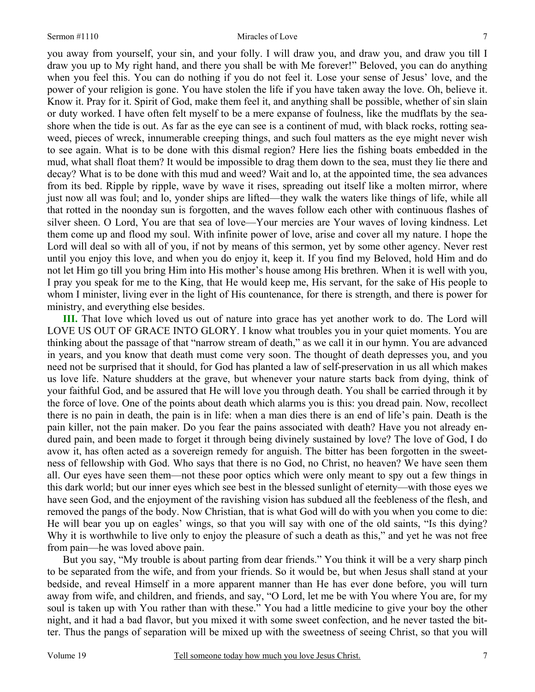#### Sermon #1110 Miracles of Love

you away from yourself, your sin, and your folly. I will draw you, and draw you, and draw you till I draw you up to My right hand, and there you shall be with Me forever!" Beloved, you can do anything when you feel this. You can do nothing if you do not feel it. Lose your sense of Jesus' love, and the power of your religion is gone. You have stolen the life if you have taken away the love. Oh, believe it. Know it. Pray for it. Spirit of God, make them feel it, and anything shall be possible, whether of sin slain or duty worked. I have often felt myself to be a mere expanse of foulness, like the mudflats by the seashore when the tide is out. As far as the eye can see is a continent of mud, with black rocks, rotting seaweed, pieces of wreck, innumerable creeping things, and such foul matters as the eye might never wish to see again. What is to be done with this dismal region? Here lies the fishing boats embedded in the mud, what shall float them? It would be impossible to drag them down to the sea, must they lie there and decay? What is to be done with this mud and weed? Wait and lo, at the appointed time, the sea advances from its bed. Ripple by ripple, wave by wave it rises, spreading out itself like a molten mirror, where just now all was foul; and lo, yonder ships are lifted—they walk the waters like things of life, while all that rotted in the noonday sun is forgotten, and the waves follow each other with continuous flashes of silver sheen. O Lord, You are that sea of love—Your mercies are Your waves of loving kindness. Let them come up and flood my soul. With infinite power of love, arise and cover all my nature. I hope the Lord will deal so with all of you, if not by means of this sermon, yet by some other agency. Never rest until you enjoy this love, and when you do enjoy it, keep it. If you find my Beloved, hold Him and do not let Him go till you bring Him into His mother's house among His brethren. When it is well with you, I pray you speak for me to the King, that He would keep me, His servant, for the sake of His people to whom I minister, living ever in the light of His countenance, for there is strength, and there is power for ministry, and everything else besides.

**III.** That love which loved us out of nature into grace has yet another work to do. The Lord will LOVE US OUT OF GRACE INTO GLORY. I know what troubles you in your quiet moments. You are thinking about the passage of that "narrow stream of death," as we call it in our hymn. You are advanced in years, and you know that death must come very soon. The thought of death depresses you, and you need not be surprised that it should, for God has planted a law of self-preservation in us all which makes us love life. Nature shudders at the grave, but whenever your nature starts back from dying, think of your faithful God, and be assured that He will love you through death. You shall be carried through it by the force of love. One of the points about death which alarms you is this: you dread pain. Now, recollect there is no pain in death, the pain is in life: when a man dies there is an end of life's pain. Death is the pain killer, not the pain maker. Do you fear the pains associated with death? Have you not already endured pain, and been made to forget it through being divinely sustained by love? The love of God, I do avow it, has often acted as a sovereign remedy for anguish. The bitter has been forgotten in the sweetness of fellowship with God. Who says that there is no God, no Christ, no heaven? We have seen them all. Our eyes have seen them—not these poor optics which were only meant to spy out a few things in this dark world; but our inner eyes which see best in the blessed sunlight of eternity—with those eyes we have seen God, and the enjoyment of the ravishing vision has subdued all the feebleness of the flesh, and removed the pangs of the body. Now Christian, that is what God will do with you when you come to die: He will bear you up on eagles' wings, so that you will say with one of the old saints, "Is this dying? Why it is worthwhile to live only to enjoy the pleasure of such a death as this," and yet he was not free from pain—he was loved above pain.

But you say, "My trouble is about parting from dear friends." You think it will be a very sharp pinch to be separated from the wife, and from your friends. So it would be, but when Jesus shall stand at your bedside, and reveal Himself in a more apparent manner than He has ever done before, you will turn away from wife, and children, and friends, and say, "O Lord, let me be with You where You are, for my soul is taken up with You rather than with these." You had a little medicine to give your boy the other night, and it had a bad flavor, but you mixed it with some sweet confection, and he never tasted the bitter. Thus the pangs of separation will be mixed up with the sweetness of seeing Christ, so that you will